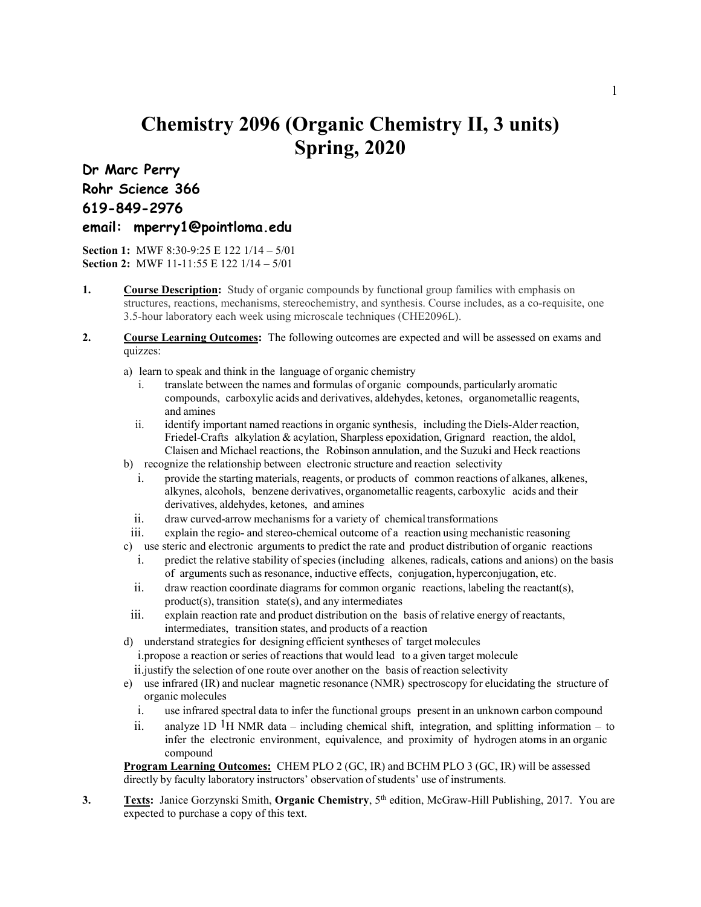## **Chemistry 2096 (Organic Chemistry II, 3 units) Spring, 2020**

## **Dr Marc Perry Rohr Science 366 619-849-2976**

## **email: mperry1@pointloma.edu**

**Section 1:** MWF 8:30-9:25 E 122 1/14 – 5/01 **Section 2:** MWF 11-11:55 E 122 1/14 – 5/01

- **1. Course Description:** Study of organic compounds by functional group families with emphasis on structures, reactions, mechanisms, stereochemistry, and synthesis. Course includes, as a co-requisite, one 3.5-hour laboratory each week using microscale techniques (CHE2096L).
- **2. Course Learning Outcomes:** The following outcomes are expected and will be assessed on exams and quizzes:
	- a) learn to speak and think in the language of organic chemistry
		- i. translate between the names and formulas of organic compounds, particularly aromatic compounds, carboxylic acids and derivatives, aldehydes, ketones, organometallic reagents, and amines
		- ii. identify important named reactions in organic synthesis, including the Diels-Alder reaction, Friedel-Crafts alkylation & acylation, Sharpless epoxidation, Grignard reaction, the aldol, Claisen and Michael reactions, the Robinson annulation, and the Suzuki and Heck reactions
	- b) recognize the relationship between electronic structure and reaction selectivity
		- i. provide the starting materials, reagents, or products of common reactions of alkanes, alkenes, alkynes, alcohols, benzene derivatives, organometallic reagents, carboxylic acids and their derivatives, aldehydes, ketones, and amines
		- ii. draw curved-arrow mechanisms for a variety of chemical transformations
		- iii. explain the regio- and stereo-chemical outcome of a reaction using mechanistic reasoning
	- c) use steric and electronic arguments to predict the rate and product distribution of organic reactions
		- i. predict the relative stability of species (including alkenes, radicals, cations and anions) on the basis of arguments such as resonance, inductive effects, conjugation, hyperconjugation, etc.
		- ii. draw reaction coordinate diagrams for common organic reactions, labeling the reactant(s), product(s), transition state(s), and any intermediates
	- iii. explain reaction rate and product distribution on the basis of relative energy of reactants, intermediates, transition states, and products of a reaction
	- d) understand strategies for designing efficient syntheses of target molecules
		- i.propose a reaction or series of reactions that would lead to a given target molecule
		- ii.justify the selection of one route over another on the basis of reaction selectivity
	- e) use infrared (IR) and nuclear magnetic resonance (NMR) spectroscopy for elucidating the structure of organic molecules
		- i. use infrared spectral data to infer the functional groups present in an unknown carbon compound
		- ii. analyze 1D <sup>1</sup>H NMR data including chemical shift, integration, and splitting information to infer the electronic environment, equivalence, and proximity of hydrogen atoms in an organic compound

**Program Learning Outcomes:** CHEM PLO 2 (GC, IR) and BCHM PLO 3 (GC, IR) will be assessed directly by faculty laboratory instructors' observation of students' use of instruments.

**3. Texts:** Janice Gorzynski Smith, **Organic Chemistry**, 5<sup>th</sup> edition, McGraw-Hill Publishing, 2017. You are expected to purchase a copy of this text.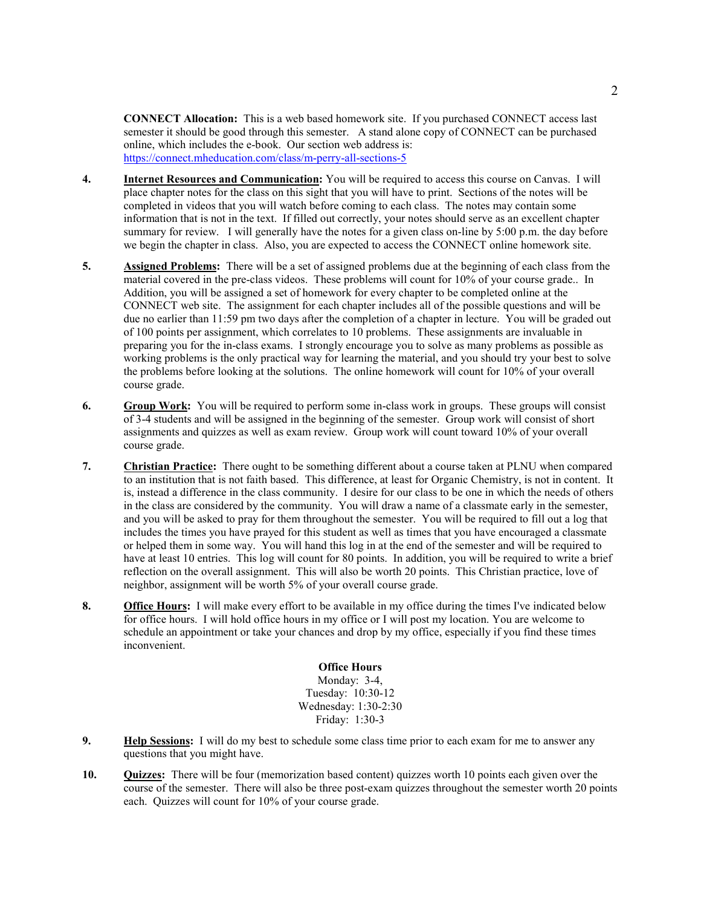**CONNECT Allocation:** This is a web based homework site. If you purchased CONNECT access last semester it should be good through this semester. A stand alone copy of CONNECT can be purchased online, which includes the e-book. Our section web address is: <https://connect.mheducation.com/class/m-perry-all-sections-5>

- **4. Internet Resources and Communication:** You will be required to access this course on Canvas. I will place chapter notes for the class on this sight that you will have to print. Sections of the notes will be completed in videos that you will watch before coming to each class. The notes may contain some information that is not in the text. If filled out correctly, your notes should serve as an excellent chapter summary for review. I will generally have the notes for a given class on-line by 5:00 p.m. the day before we begin the chapter in class. Also, you are expected to access the CONNECT online homework site.
- **5. Assigned Problems:** There will be a set of assigned problems due at the beginning of each class from the material covered in the pre-class videos. These problems will count for 10% of your course grade.. In Addition, you will be assigned a set of homework for every chapter to be completed online at the CONNECT web site. The assignment for each chapter includes all of the possible questions and will be due no earlier than 11:59 pm two days after the completion of a chapter in lecture. You will be graded out of 100 points per assignment, which correlates to 10 problems. These assignments are invaluable in preparing you for the in-class exams. I strongly encourage you to solve as many problems as possible as working problems is the only practical way for learning the material, and you should try your best to solve the problems before looking at the solutions. The online homework will count for 10% of your overall course grade.
- **6. Group Work:** You will be required to perform some in-class work in groups. These groups will consist of 3-4 students and will be assigned in the beginning of the semester. Group work will consist of short assignments and quizzes as well as exam review. Group work will count toward 10% of your overall course grade.
- **7. Christian Practice:** There ought to be something different about a course taken at PLNU when compared to an institution that is not faith based. This difference, at least for Organic Chemistry, is not in content. It is, instead a difference in the class community. I desire for our class to be one in which the needs of others in the class are considered by the community. You will draw a name of a classmate early in the semester, and you will be asked to pray for them throughout the semester. You will be required to fill out a log that includes the times you have prayed for this student as well as times that you have encouraged a classmate or helped them in some way. You will hand this log in at the end of the semester and will be required to have at least 10 entries. This log will count for 80 points. In addition, you will be required to write a brief reflection on the overall assignment. This will also be worth 20 points. This Christian practice, love of neighbor, assignment will be worth 5% of your overall course grade.
- **8. Office Hours:** I will make every effort to be available in my office during the times I've indicated below for office hours. I will hold office hours in my office or I will post my location. You are welcome to schedule an appointment or take your chances and drop by my office, especially if you find these times inconvenient.

**Office Hours** Monday: 3-4, Tuesday: 10:30-12 Wednesday: 1:30-2:30 Friday: 1:30-3

- **9. Help Sessions:** I will do my best to schedule some class time prior to each exam for me to answer any questions that you might have.
- **10. Quizzes:** There will be four (memorization based content) quizzes worth 10 points each given over the course of the semester. There will also be three post-exam quizzes throughout the semester worth 20 points each. Quizzes will count for 10% of your course grade.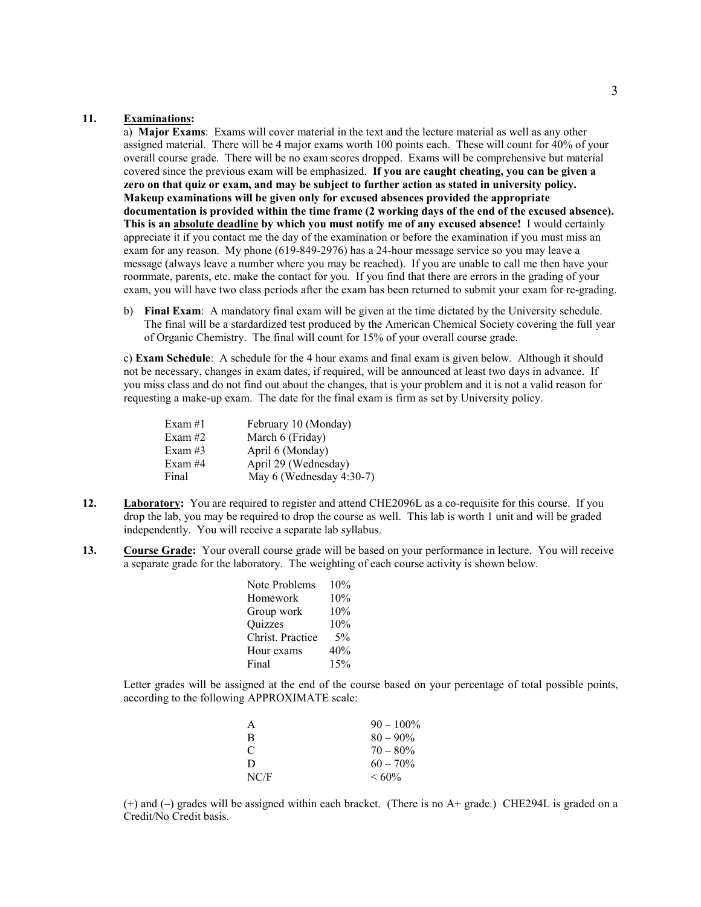## **11. Examinations:**

a) **Major Exams**: Exams will cover material in the text and the lecture material as well as any other assigned material. There will be 4 major exams worth 100 points each. These will count for 40% of your overall course grade. There will be no exam scores dropped. Exams will be comprehensive but material covered since the previous exam will be emphasized. **If you are caught cheating, you can be given a zero on that quiz or exam, and may be subject to further action as stated in university policy. Makeup examinations will be given only for excused absences provided the appropriate documentation is provided within the time frame (2 working days of the end of the excused absence). This is an absolute deadline by which you must notify me of any excused absence!** I would certainly appreciate it if you contact me the day of the examination or before the examination if you must miss an exam for any reason. My phone (619-849-2976) has a 24-hour message service so you may leave a message (always leave a number where you may be reached). If you are unable to call me then have your roommate, parents, etc. make the contact for you. If you find that there are errors in the grading of your exam, you will have two class periods after the exam has been returned to submit your exam for re-grading.

b) **Final Exam**: A mandatory final exam will be given at the time dictated by the University schedule. The final will be a stardardized test produced by the American Chemical Society covering the full year of Organic Chemistry. The final will count for 15% of your overall course grade.

c) **Exam Schedule**: A schedule for the 4 hour exams and final exam is given below. Although it should not be necessary, changes in exam dates, if required, will be announced at least two days in advance. If you miss class and do not find out about the changes, that is your problem and it is not a valid reason for requesting a make-up exam. The date for the final exam is firm as set by University policy.

| Exam $#1$  | February 10 (Monday)     |
|------------|--------------------------|
| Exam#2     | March 6 (Friday)         |
| Exam $#3$  | April 6 (Monday)         |
| Exam# $44$ | April 29 (Wednesday)     |
| Final      | May 6 (Wednesday 4:30-7) |

- 12. **Laboratory:** You are required to register and attend CHE2096L as a co-requisite for this course. If you drop the lab, you may be required to drop the course as well. This lab is worth 1 unit and will be graded independently. You will receive a separate lab syllabus.
- **13. Course Grade:** Your overall course grade will be based on your performance in lecture. You will receive a separate grade for the laboratory. The weighting of each course activity is shown below.

| Note Problems    | 10% |
|------------------|-----|
| Homework         | 10% |
| Group work       | 10% |
| Quizzes          | 10% |
| Christ. Practice | 5%  |
| Hour exams       | 40% |
| Final            | 15% |

Letter grades will be assigned at the end of the course based on your percentage of total possible points, according to the following APPROXIMATE scale:

| A             | $90 - 100\%$ |
|---------------|--------------|
| B             | $80 - 90\%$  |
| $\mathcal{C}$ | $70 - 80\%$  |
| D             | $60 - 70\%$  |
| NC/F          | $<60\%$      |

(+) and (–) grades will be assigned within each bracket. (There is no A+ grade.) CHE294L is graded on a Credit/No Credit basis.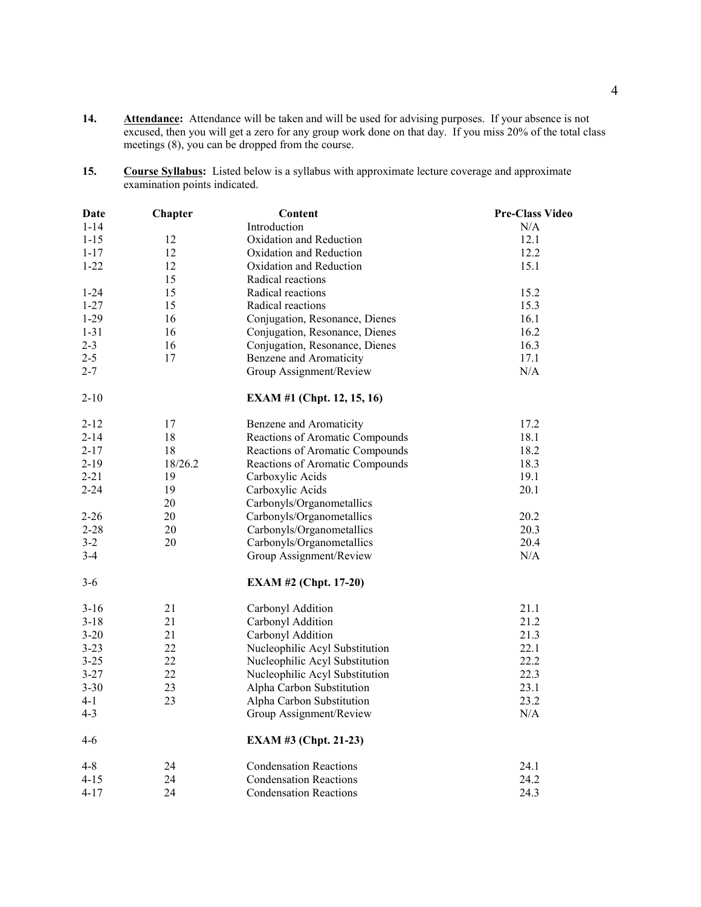- **14. Attendance:** Attendance will be taken and will be used for advising purposes. If your absence is not excused, then you will get a zero for any group work done on that day. If you miss 20% of the total class meetings (8), you can be dropped from the course.
- **15. Course Syllabus:** Listed below is a syllabus with approximate lecture coverage and approximate examination points indicated.

| Date     | Chapter | <b>Content</b>                    | <b>Pre-Class Video</b> |
|----------|---------|-----------------------------------|------------------------|
| $1 - 14$ |         | Introduction                      | N/A                    |
| $1 - 15$ | 12      | Oxidation and Reduction           | 12.1                   |
| $1 - 17$ | 12      | Oxidation and Reduction           | 12.2                   |
| $1 - 22$ | 12      | Oxidation and Reduction           | 15.1                   |
|          | 15      | Radical reactions                 |                        |
| $1 - 24$ | 15      | Radical reactions                 | 15.2                   |
| $1 - 27$ | 15      | Radical reactions                 | 15.3                   |
| $1 - 29$ | 16      | Conjugation, Resonance, Dienes    | 16.1                   |
| $1 - 31$ | 16      | Conjugation, Resonance, Dienes    | 16.2                   |
| $2 - 3$  | 16      | Conjugation, Resonance, Dienes    | 16.3                   |
| $2 - 5$  | 17      | Benzene and Aromaticity           | 17.1                   |
| $2 - 7$  |         | Group Assignment/Review           | N/A                    |
| $2 - 10$ |         | <b>EXAM #1 (Chpt. 12, 15, 16)</b> |                        |
| $2 - 12$ | 17      | Benzene and Aromaticity           | 17.2                   |
| $2 - 14$ | 18      | Reactions of Aromatic Compounds   | 18.1                   |
| $2 - 17$ | 18      | Reactions of Aromatic Compounds   | 18.2                   |
| $2 - 19$ | 18/26.2 | Reactions of Aromatic Compounds   | 18.3                   |
| $2 - 21$ | 19      | Carboxylic Acids                  | 19.1                   |
| $2 - 24$ | 19      | Carboxylic Acids                  | 20.1                   |
|          | 20      | Carbonyls/Organometallics         |                        |
| $2 - 26$ | 20      | Carbonyls/Organometallics         | 20.2                   |
| $2 - 28$ | 20      | Carbonyls/Organometallics         | 20.3                   |
| $3 - 2$  | 20      | Carbonyls/Organometallics         | 20.4                   |
| $3-4$    |         | Group Assignment/Review           | N/A                    |
| $3-6$    |         | <b>EXAM #2 (Chpt. 17-20)</b>      |                        |
| $3 - 16$ | 21      | Carbonyl Addition                 | 21.1                   |
| $3 - 18$ | 21      | Carbonyl Addition                 | 21.2                   |
| $3 - 20$ | 21      | Carbonyl Addition                 | 21.3                   |
| $3 - 23$ | 22      | Nucleophilic Acyl Substitution    | 22.1                   |
| $3 - 25$ | 22      | Nucleophilic Acyl Substitution    | 22.2                   |
| $3 - 27$ | 22      | Nucleophilic Acyl Substitution    | 22.3                   |
| $3 - 30$ | 23      | Alpha Carbon Substitution         | 23.1                   |
| 4-1      | 23      | Alpha Carbon Substitution         | 23.2                   |
| $4 - 3$  |         | Group Assignment/Review           | N/A                    |
| $4-6$    |         | EXAM #3 (Chpt. 21-23)             |                        |
| $4 - 8$  | 24      | <b>Condensation Reactions</b>     | 24.1                   |
| $4 - 15$ | 24      | <b>Condensation Reactions</b>     | 24.2                   |
| $4-17$   | 24      | <b>Condensation Reactions</b>     | 24.3                   |
|          |         |                                   |                        |